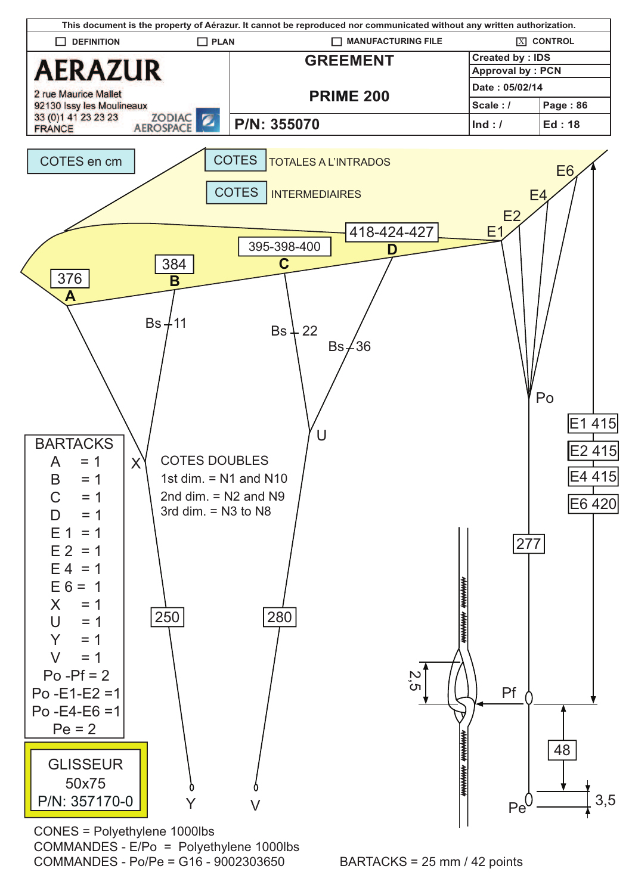

CONES = Polyethylene 1000lbs COMMANDES - E/Po = Polyethylene 1000lbs COMMANDES - Po/Pe = G16 - 9002303650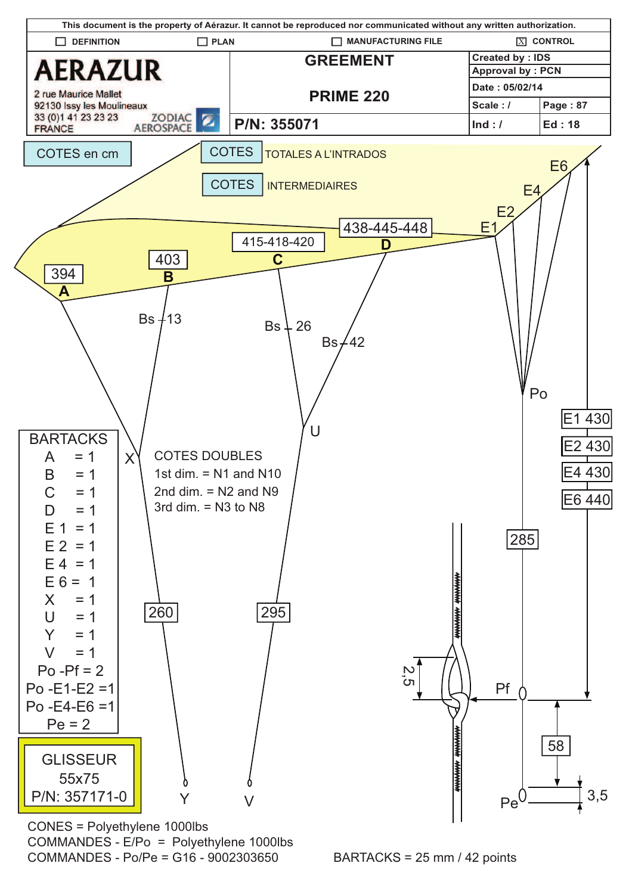

CONES = Polyethylene 1000lbs COMMANDES - E/Po = Polyethylene 1000lbs COMMANDES - Po/Pe = G16 - 9002303650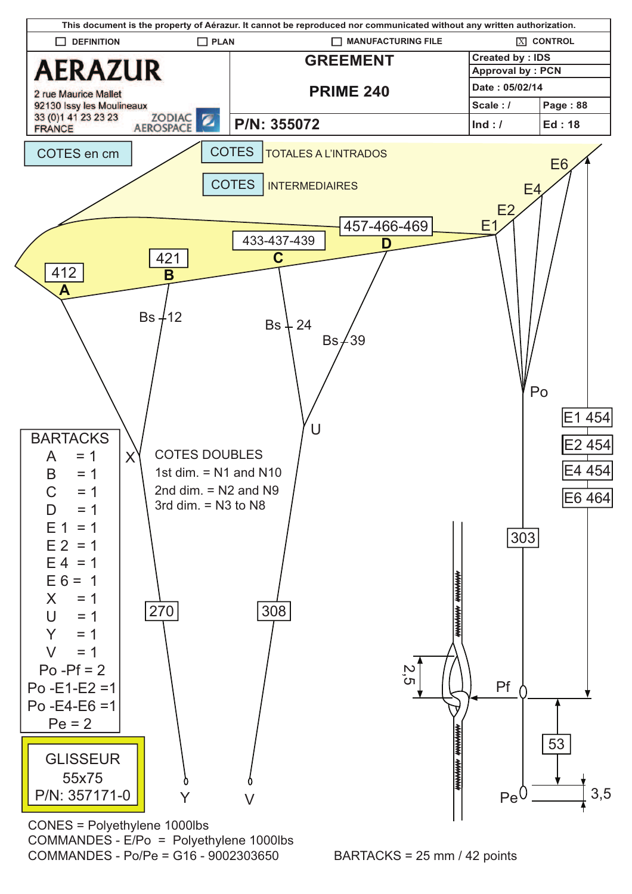

CONES = Polyethylene 1000lbs COMMANDES - E/Po = Polyethylene 1000lbs COMMANDES - Po/Pe = G16 - 9002303650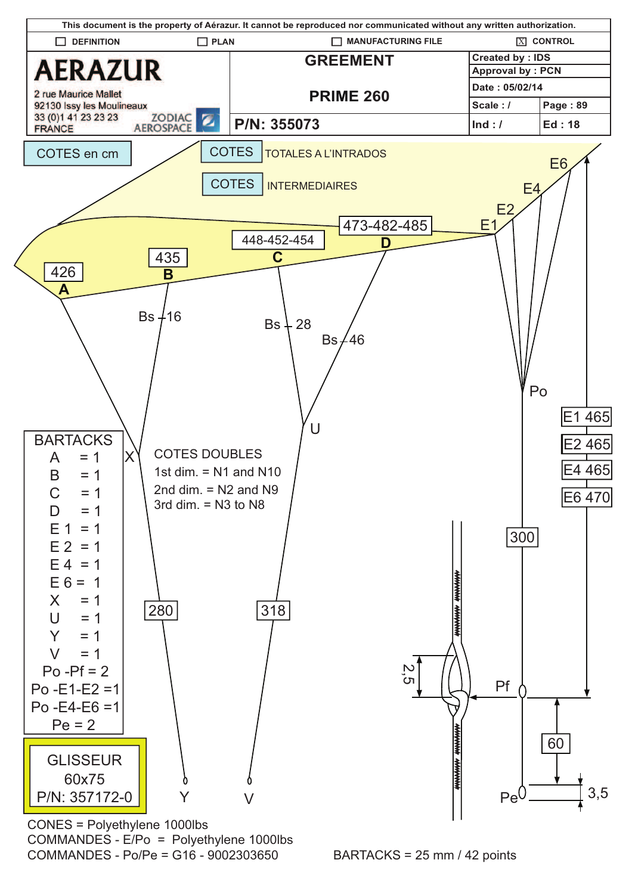

CONES = Polyethylene 1000lbs COMMANDES - E/Po = Polyethylene 1000lbs  $COMMANDFS - Po/Pe = G16 - 9002303650$